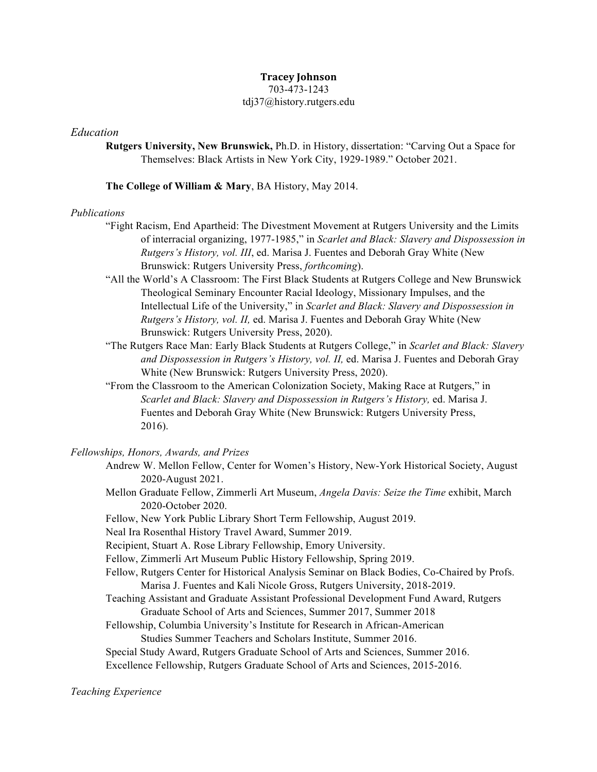# **Tracey Johnson**

# 703-473-1243 tdj37@history.rutgers.edu

### *Education*

**Rutgers University, New Brunswick,** Ph.D. in History, dissertation: "Carving Out a Space for Themselves: Black Artists in New York City, 1929-1989." October 2021.

#### **The College of William & Mary**, BA History, May 2014.

#### *Publications*

- "Fight Racism, End Apartheid: The Divestment Movement at Rutgers University and the Limits of interracial organizing, 1977-1985," in *Scarlet and Black: Slavery and Dispossession in Rutgers's History, vol. III*, ed. Marisa J. Fuentes and Deborah Gray White (New Brunswick: Rutgers University Press, *forthcoming*).
- "All the World's A Classroom: The First Black Students at Rutgers College and New Brunswick Theological Seminary Encounter Racial Ideology, Missionary Impulses, and the Intellectual Life of the University," in *Scarlet and Black: Slavery and Dispossession in Rutgers's History, vol. II,* ed. Marisa J. Fuentes and Deborah Gray White (New Brunswick: Rutgers University Press, 2020).
- "The Rutgers Race Man: Early Black Students at Rutgers College," in *Scarlet and Black: Slavery and Dispossession in Rutgers's History, vol. II,* ed. Marisa J. Fuentes and Deborah Gray White (New Brunswick: Rutgers University Press, 2020).
- "From the Classroom to the American Colonization Society, Making Race at Rutgers," in *Scarlet and Black: Slavery and Dispossession in Rutgers's History,* ed. Marisa J. Fuentes and Deborah Gray White (New Brunswick: Rutgers University Press, 2016).

# *Fellowships, Honors, Awards, and Prizes*

- Andrew W. Mellon Fellow, Center for Women's History, New-York Historical Society, August 2020-August 2021.
- Mellon Graduate Fellow, Zimmerli Art Museum, *Angela Davis: Seize the Time* exhibit, March 2020-October 2020.
- Fellow, New York Public Library Short Term Fellowship, August 2019.
- Neal Ira Rosenthal History Travel Award, Summer 2019.
- Recipient, Stuart A. Rose Library Fellowship, Emory University.
- Fellow, Zimmerli Art Museum Public History Fellowship, Spring 2019.
- Fellow, Rutgers Center for Historical Analysis Seminar on Black Bodies, Co-Chaired by Profs. Marisa J. Fuentes and Kali Nicole Gross, Rutgers University, 2018-2019.
- Teaching Assistant and Graduate Assistant Professional Development Fund Award, Rutgers Graduate School of Arts and Sciences, Summer 2017, Summer 2018
- Fellowship, Columbia University's Institute for Research in African-American Studies Summer Teachers and Scholars Institute, Summer 2016.
- Special Study Award, Rutgers Graduate School of Arts and Sciences, Summer 2016.
- Excellence Fellowship, Rutgers Graduate School of Arts and Sciences, 2015-2016.

### *Teaching Experience*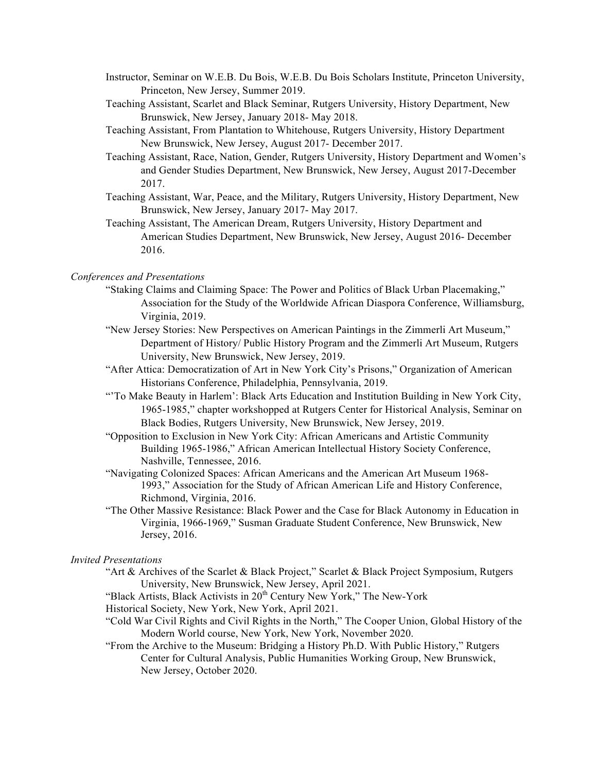- Instructor, Seminar on W.E.B. Du Bois, W.E.B. Du Bois Scholars Institute, Princeton University, Princeton, New Jersey, Summer 2019.
- Teaching Assistant, Scarlet and Black Seminar, Rutgers University, History Department, New Brunswick, New Jersey, January 2018- May 2018.
- Teaching Assistant, From Plantation to Whitehouse, Rutgers University, History Department New Brunswick, New Jersey, August 2017- December 2017.
- Teaching Assistant, Race, Nation, Gender, Rutgers University, History Department and Women's and Gender Studies Department, New Brunswick, New Jersey, August 2017-December 2017.
- Teaching Assistant, War, Peace, and the Military, Rutgers University, History Department, New Brunswick, New Jersey, January 2017- May 2017.
- Teaching Assistant, The American Dream, Rutgers University, History Department and American Studies Department, New Brunswick, New Jersey, August 2016- December 2016.

### *Conferences and Presentations*

- "Staking Claims and Claiming Space: The Power and Politics of Black Urban Placemaking," Association for the Study of the Worldwide African Diaspora Conference, Williamsburg, Virginia, 2019.
- "New Jersey Stories: New Perspectives on American Paintings in the Zimmerli Art Museum," Department of History/ Public History Program and the Zimmerli Art Museum, Rutgers University, New Brunswick, New Jersey, 2019.
- "After Attica: Democratization of Art in New York City's Prisons," Organization of American Historians Conference, Philadelphia, Pennsylvania, 2019.
- "'To Make Beauty in Harlem': Black Arts Education and Institution Building in New York City, 1965-1985," chapter workshopped at Rutgers Center for Historical Analysis, Seminar on Black Bodies, Rutgers University, New Brunswick, New Jersey, 2019.
- "Opposition to Exclusion in New York City: African Americans and Artistic Community Building 1965-1986," African American Intellectual History Society Conference, Nashville, Tennessee, 2016.
- "Navigating Colonized Spaces: African Americans and the American Art Museum 1968- 1993," Association for the Study of African American Life and History Conference, Richmond, Virginia, 2016.
- "The Other Massive Resistance: Black Power and the Case for Black Autonomy in Education in Virginia, 1966-1969," Susman Graduate Student Conference, New Brunswick, New Jersey, 2016.

### *Invited Presentations*

- "Art & Archives of the Scarlet & Black Project," Scarlet & Black Project Symposium, Rutgers University, New Brunswick, New Jersey, April 2021.
- "Black Artists, Black Activists in 20<sup>th</sup> Century New York," The New-York
- Historical Society, New York, New York, April 2021.
- "Cold War Civil Rights and Civil Rights in the North," The Cooper Union, Global History of the Modern World course, New York, New York, November 2020.
- "From the Archive to the Museum: Bridging a History Ph.D. With Public History," Rutgers Center for Cultural Analysis, Public Humanities Working Group, New Brunswick, New Jersey, October 2020.